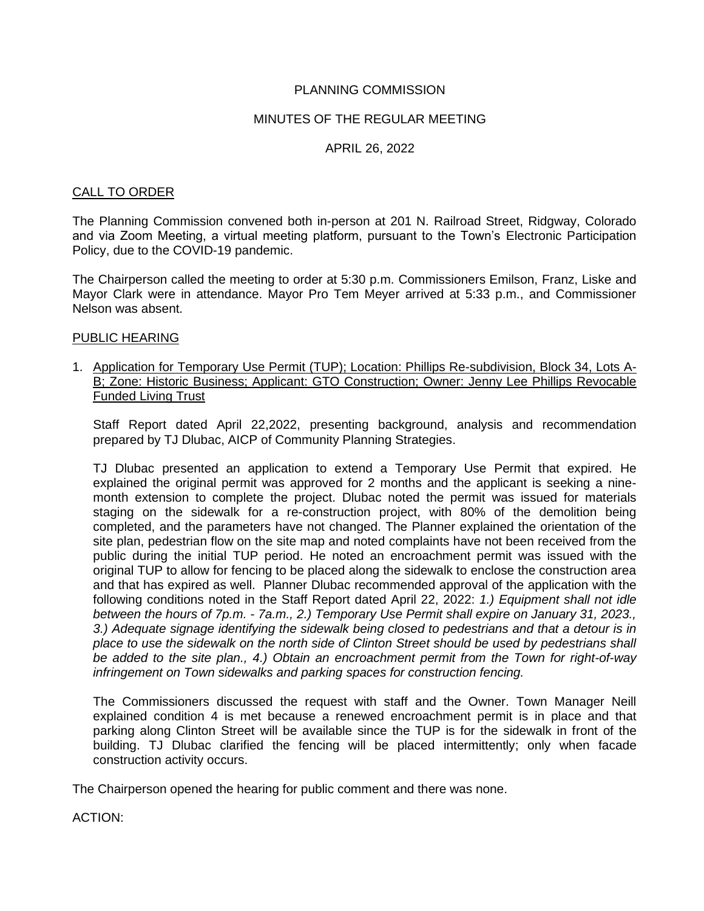# PLANNING COMMISSION

# MINUTES OF THE REGULAR MEETING

## APRIL 26, 2022

#### CALL TO ORDER

The Planning Commission convened both in-person at 201 N. Railroad Street, Ridgway, Colorado and via Zoom Meeting, a virtual meeting platform, pursuant to the Town's Electronic Participation Policy, due to the COVID-19 pandemic.

The Chairperson called the meeting to order at 5:30 p.m. Commissioners Emilson, Franz, Liske and Mayor Clark were in attendance. Mayor Pro Tem Meyer arrived at 5:33 p.m., and Commissioner Nelson was absent.

## PUBLIC HEARING

1. Application for Temporary Use Permit (TUP); Location: Phillips Re-subdivision, Block 34, Lots A-B; Zone: Historic Business; Applicant: GTO Construction; Owner: Jenny Lee Phillips Revocable Funded Living Trust

Staff Report dated April 22,2022, presenting background, analysis and recommendation prepared by TJ Dlubac, AICP of Community Planning Strategies.

TJ Dlubac presented an application to extend a Temporary Use Permit that expired. He explained the original permit was approved for 2 months and the applicant is seeking a ninemonth extension to complete the project. Dlubac noted the permit was issued for materials staging on the sidewalk for a re-construction project, with 80% of the demolition being completed, and the parameters have not changed. The Planner explained the orientation of the site plan, pedestrian flow on the site map and noted complaints have not been received from the public during the initial TUP period. He noted an encroachment permit was issued with the original TUP to allow for fencing to be placed along the sidewalk to enclose the construction area and that has expired as well. Planner Dlubac recommended approval of the application with the following conditions noted in the Staff Report dated April 22, 2022: *1.) Equipment shall not idle between the hours of 7p.m. - 7a.m., 2.) Temporary Use Permit shall expire on January 31, 2023., 3.) Adequate signage identifying the sidewalk being closed to pedestrians and that a detour is in place to use the sidewalk on the north side of Clinton Street should be used by pedestrians shall be added to the site plan., 4.) Obtain an encroachment permit from the Town for right-of-way infringement on Town sidewalks and parking spaces for construction fencing.*

The Commissioners discussed the request with staff and the Owner. Town Manager Neill explained condition 4 is met because a renewed encroachment permit is in place and that parking along Clinton Street will be available since the TUP is for the sidewalk in front of the building. TJ Dlubac clarified the fencing will be placed intermittently; only when facade construction activity occurs.

The Chairperson opened the hearing for public comment and there was none.

ACTION: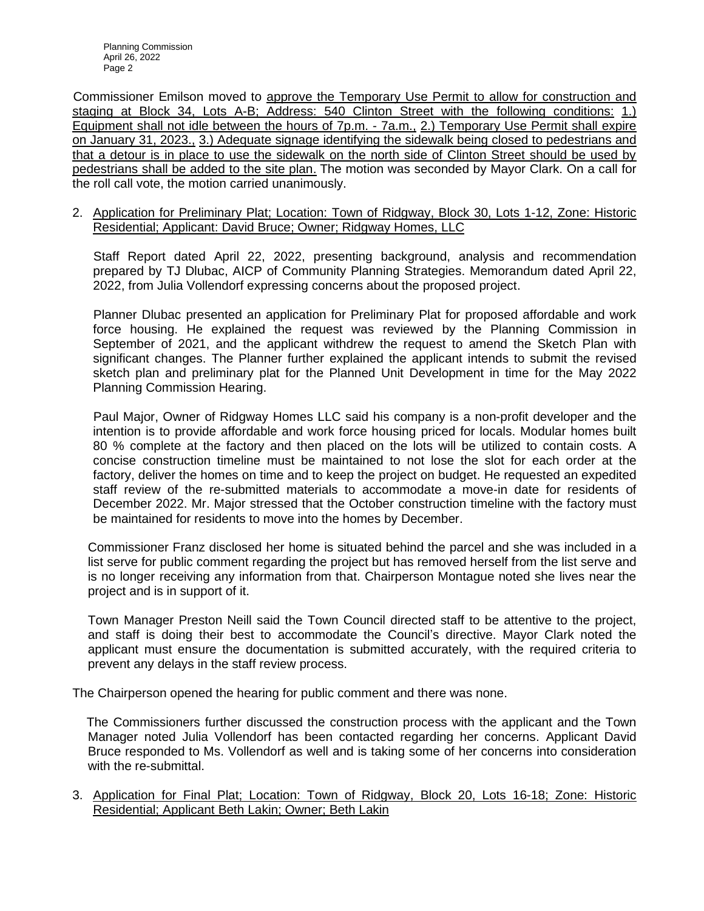Planning Commission April 26, 2022 Page 2

 Commissioner Emilson moved to approve the Temporary Use Permit to allow for construction and staging at Block 34, Lots A-B; Address: 540 Clinton Street with the following conditions: 1.) Equipment shall not idle between the hours of 7p.m. - 7a.m., 2.) Temporary Use Permit shall expire on January 31, 2023., 3.) Adequate signage identifying the sidewalk being closed to pedestrians and that a detour is in place to use the sidewalk on the north side of Clinton Street should be used by pedestrians shall be added to the site plan. The motion was seconded by Mayor Clark. On a call for the roll call vote, the motion carried unanimously.

2. Application for Preliminary Plat; Location: Town of Ridgway, Block 30, Lots 1-12, Zone: Historic Residential; Applicant: David Bruce; Owner; Ridgway Homes, LLC

 Staff Report dated April 22, 2022, presenting background, analysis and recommendation prepared by TJ Dlubac, AICP of Community Planning Strategies. Memorandum dated April 22, 2022, from Julia Vollendorf expressing concerns about the proposed project.

 Planner Dlubac presented an application for Preliminary Plat for proposed affordable and work force housing. He explained the request was reviewed by the Planning Commission in September of 2021, and the applicant withdrew the request to amend the Sketch Plan with significant changes. The Planner further explained the applicant intends to submit the revised sketch plan and preliminary plat for the Planned Unit Development in time for the May 2022 Planning Commission Hearing.

 Paul Major, Owner of Ridgway Homes LLC said his company is a non-profit developer and the intention is to provide affordable and work force housing priced for locals. Modular homes built 80 % complete at the factory and then placed on the lots will be utilized to contain costs. A concise construction timeline must be maintained to not lose the slot for each order at the factory, deliver the homes on time and to keep the project on budget. He requested an expedited staff review of the re-submitted materials to accommodate a move-in date for residents of December 2022. Mr. Major stressed that the October construction timeline with the factory must be maintained for residents to move into the homes by December.

Commissioner Franz disclosed her home is situated behind the parcel and she was included in a list serve for public comment regarding the project but has removed herself from the list serve and is no longer receiving any information from that. Chairperson Montague noted she lives near the project and is in support of it.

Town Manager Preston Neill said the Town Council directed staff to be attentive to the project, and staff is doing their best to accommodate the Council's directive. Mayor Clark noted the applicant must ensure the documentation is submitted accurately, with the required criteria to prevent any delays in the staff review process.

The Chairperson opened the hearing for public comment and there was none.

 The Commissioners further discussed the construction process with the applicant and the Town Manager noted Julia Vollendorf has been contacted regarding her concerns. Applicant David Bruce responded to Ms. Vollendorf as well and is taking some of her concerns into consideration with the re-submittal.

3. Application for Final Plat; Location: Town of Ridgway, Block 20, Lots 16-18; Zone: Historic Residential; Applicant Beth Lakin; Owner; Beth Lakin